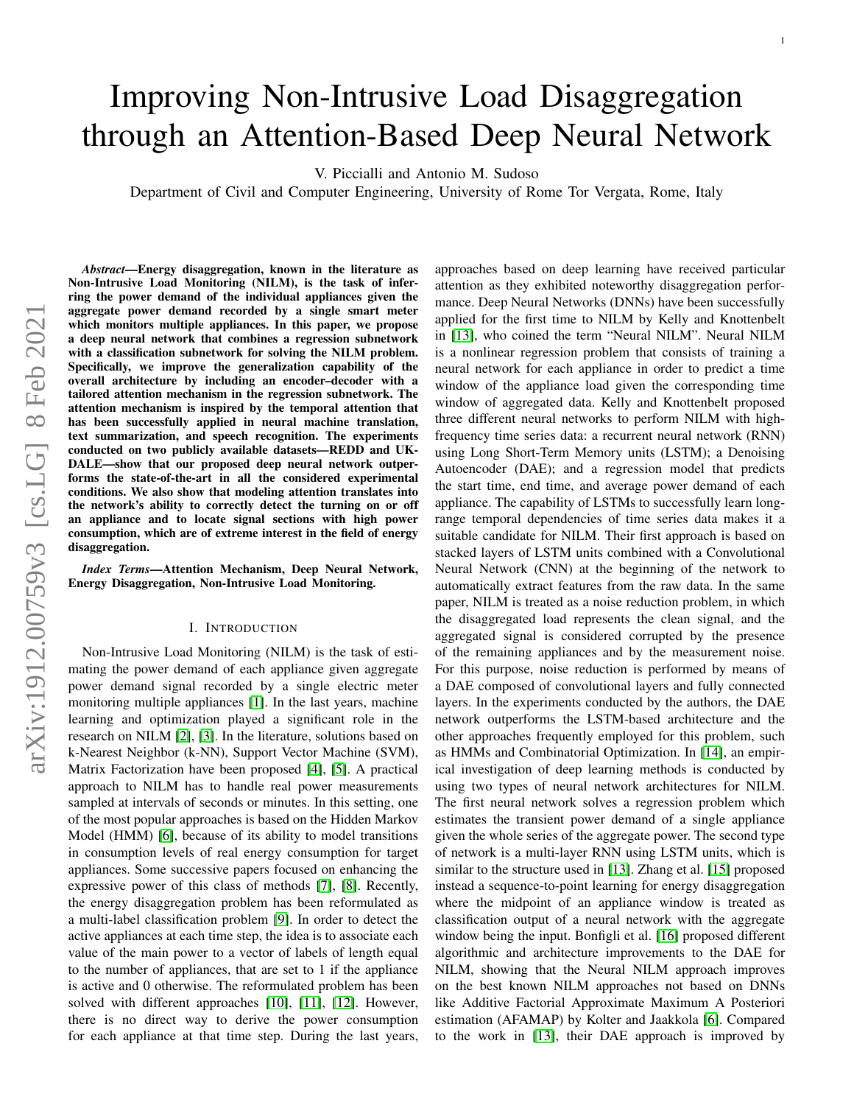# Improving Non-Intrusive Load Disaggregation through an Attention-Based Deep Neural Network

V. Piccialli and Antonio M. Sudoso

Department of Civil and Computer Engineering, University of Rome Tor Vergata, Rome, Italy

*Abstract*—Energy disaggregation, known in the literature as Non-Intrusive Load Monitoring (NILM), is the task of inferring the power demand of the individual appliances given the aggregate power demand recorded by a single smart meter which monitors multiple appliances. In this paper, we propose a deep neural network that combines a regression subnetwork with a classification subnetwork for solving the NILM problem. Specifically, we improve the generalization capability of the overall architecture by including an encoder–decoder with a tailored attention mechanism in the regression subnetwork. The attention mechanism is inspired by the temporal attention that has been successfully applied in neural machine translation, text summarization, and speech recognition. The experiments conducted on two publicly available datasets—REDD and UK-DALE—show that our proposed deep neural network outperforms the state-of-the-art in all the considered experimental conditions. We also show that modeling attention translates into the network's ability to correctly detect the turning on or off an appliance and to locate signal sections with high power consumption, which are of extreme interest in the field of energy disaggregation.

*Index Terms*—Attention Mechanism, Deep Neural Network, Energy Disaggregation, Non-Intrusive Load Monitoring.

# I. INTRODUCTION

Non-Intrusive Load Monitoring (NILM) is the task of estimating the power demand of each appliance given aggregate power demand signal recorded by a single electric meter monitoring multiple appliances [\[1\]](#page-7-0). In the last years, machine learning and optimization played a significant role in the research on NILM [\[2\]](#page-7-1), [\[3\]](#page-7-2). In the literature, solutions based on k-Nearest Neighbor (k-NN), Support Vector Machine (SVM), Matrix Factorization have been proposed [\[4\]](#page-7-3), [\[5\]](#page-7-4). A practical approach to NILM has to handle real power measurements sampled at intervals of seconds or minutes. In this setting, one of the most popular approaches is based on the Hidden Markov Model (HMM) [\[6\]](#page-7-5), because of its ability to model transitions in consumption levels of real energy consumption for target appliances. Some successive papers focused on enhancing the expressive power of this class of methods [\[7\]](#page-8-0), [\[8\]](#page-8-1). Recently, the energy disaggregation problem has been reformulated as a multi-label classification problem [\[9\]](#page-8-2). In order to detect the active appliances at each time step, the idea is to associate each value of the main power to a vector of labels of length equal to the number of appliances, that are set to 1 if the appliance is active and 0 otherwise. The reformulated problem has been solved with different approaches [\[10\]](#page-8-3), [\[11\]](#page-8-4), [\[12\]](#page-8-5). However, there is no direct way to derive the power consumption for each appliance at that time step. During the last years, approaches based on deep learning have received particular attention as they exhibited noteworthy disaggregation performance. Deep Neural Networks (DNNs) have been successfully applied for the first time to NILM by Kelly and Knottenbelt in [\[13\]](#page-8-6), who coined the term "Neural NILM". Neural NILM is a nonlinear regression problem that consists of training a neural network for each appliance in order to predict a time window of the appliance load given the corresponding time window of aggregated data. Kelly and Knottenbelt proposed three different neural networks to perform NILM with highfrequency time series data: a recurrent neural network (RNN) using Long Short-Term Memory units (LSTM); a Denoising Autoencoder (DAE); and a regression model that predicts the start time, end time, and average power demand of each appliance. The capability of LSTMs to successfully learn longrange temporal dependencies of time series data makes it a suitable candidate for NILM. Their first approach is based on stacked layers of LSTM units combined with a Convolutional Neural Network (CNN) at the beginning of the network to automatically extract features from the raw data. In the same paper, NILM is treated as a noise reduction problem, in which the disaggregated load represents the clean signal, and the aggregated signal is considered corrupted by the presence of the remaining appliances and by the measurement noise. For this purpose, noise reduction is performed by means of a DAE composed of convolutional layers and fully connected layers. In the experiments conducted by the authors, the DAE network outperforms the LSTM-based architecture and the other approaches frequently employed for this problem, such as HMMs and Combinatorial Optimization. In [\[14\]](#page-8-7), an empirical investigation of deep learning methods is conducted by using two types of neural network architectures for NILM. The first neural network solves a regression problem which estimates the transient power demand of a single appliance given the whole series of the aggregate power. The second type of network is a multi-layer RNN using LSTM units, which is similar to the structure used in [\[13\]](#page-8-6). Zhang et al. [\[15\]](#page-8-8) proposed instead a sequence-to-point learning for energy disaggregation where the midpoint of an appliance window is treated as classification output of a neural network with the aggregate window being the input. Bonfigli et al. [\[16\]](#page-8-9) proposed different algorithmic and architecture improvements to the DAE for NILM, showing that the Neural NILM approach improves on the best known NILM approaches not based on DNNs like Additive Factorial Approximate Maximum A Posteriori estimation (AFAMAP) by Kolter and Jaakkola [\[6\]](#page-7-5). Compared to the work in [\[13\]](#page-8-6), their DAE approach is improved by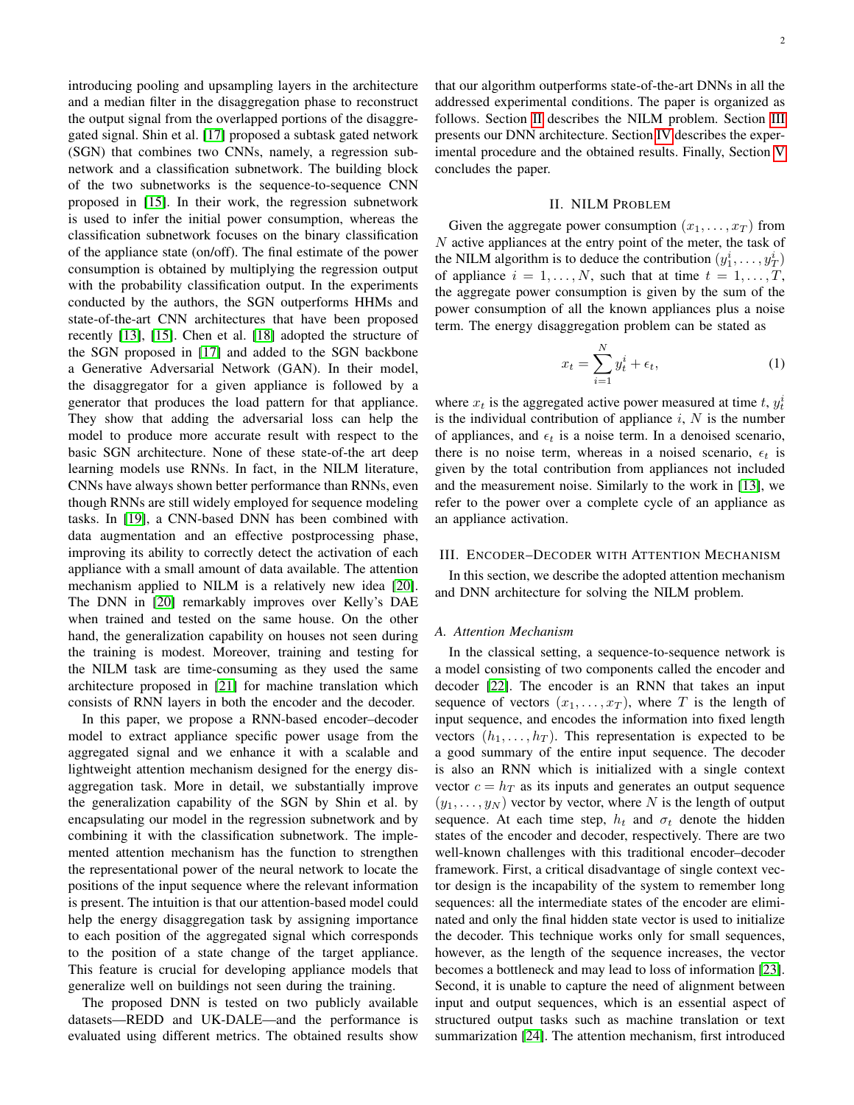introducing pooling and upsampling layers in the architecture and a median filter in the disaggregation phase to reconstruct the output signal from the overlapped portions of the disaggregated signal. Shin et al. [\[17\]](#page-8-10) proposed a subtask gated network (SGN) that combines two CNNs, namely, a regression subnetwork and a classification subnetwork. The building block of the two subnetworks is the sequence-to-sequence CNN proposed in [\[15\]](#page-8-8). In their work, the regression subnetwork is used to infer the initial power consumption, whereas the classification subnetwork focuses on the binary classification of the appliance state (on/off). The final estimate of the power consumption is obtained by multiplying the regression output with the probability classification output. In the experiments conducted by the authors, the SGN outperforms HHMs and state-of-the-art CNN architectures that have been proposed recently [\[13\]](#page-8-6), [\[15\]](#page-8-8). Chen et al. [\[18\]](#page-8-11) adopted the structure of the SGN proposed in [\[17\]](#page-8-10) and added to the SGN backbone a Generative Adversarial Network (GAN). In their model, the disaggregator for a given appliance is followed by a generator that produces the load pattern for that appliance. They show that adding the adversarial loss can help the model to produce more accurate result with respect to the basic SGN architecture. None of these state-of-the art deep learning models use RNNs. In fact, in the NILM literature, CNNs have always shown better performance than RNNs, even though RNNs are still widely employed for sequence modeling tasks. In [\[19\]](#page-8-12), a CNN-based DNN has been combined with data augmentation and an effective postprocessing phase, improving its ability to correctly detect the activation of each appliance with a small amount of data available. The attention mechanism applied to NILM is a relatively new idea [\[20\]](#page-8-13). The DNN in [\[20\]](#page-8-13) remarkably improves over Kelly's DAE when trained and tested on the same house. On the other hand, the generalization capability on houses not seen during the training is modest. Moreover, training and testing for the NILM task are time-consuming as they used the same architecture proposed in [\[21\]](#page-8-14) for machine translation which consists of RNN layers in both the encoder and the decoder.

In this paper, we propose a RNN-based encoder–decoder model to extract appliance specific power usage from the aggregated signal and we enhance it with a scalable and lightweight attention mechanism designed for the energy disaggregation task. More in detail, we substantially improve the generalization capability of the SGN by Shin et al. by encapsulating our model in the regression subnetwork and by combining it with the classification subnetwork. The implemented attention mechanism has the function to strengthen the representational power of the neural network to locate the positions of the input sequence where the relevant information is present. The intuition is that our attention-based model could help the energy disaggregation task by assigning importance to each position of the aggregated signal which corresponds to the position of a state change of the target appliance. This feature is crucial for developing appliance models that generalize well on buildings not seen during the training.

The proposed DNN is tested on two publicly available datasets—REDD and UK-DALE—and the performance is evaluated using different metrics. The obtained results show that our algorithm outperforms state-of-the-art DNNs in all the addressed experimental conditions. The paper is organized as follows. Section [II](#page-1-0) describes the NILM problem. Section [III](#page-1-1) presents our DNN architecture. Section [IV](#page-4-0) describes the experimental procedure and the obtained results. Finally, Section [V](#page-6-0) concludes the paper.

## II. NILM PROBLEM

<span id="page-1-0"></span>Given the aggregate power consumption  $(x_1, \ldots, x_T)$  from N active appliances at the entry point of the meter, the task of the NILM algorithm is to deduce the contribution  $(y_1^i, \dots, y_T^i)$ of appliance  $i = 1, \ldots, N$ , such that at time  $t = 1, \ldots, T$ , the aggregate power consumption is given by the sum of the power consumption of all the known appliances plus a noise term. The energy disaggregation problem can be stated as

$$
x_t = \sum_{i=1}^{N} y_t^i + \epsilon_t,
$$
\n(1)

where  $x_t$  is the aggregated active power measured at time t,  $y_t^i$ is the individual contribution of appliance  $i$ ,  $N$  is the number of appliances, and  $\epsilon_t$  is a noise term. In a denoised scenario, there is no noise term, whereas in a noised scenario,  $\epsilon_t$  is given by the total contribution from appliances not included and the measurement noise. Similarly to the work in [\[13\]](#page-8-6), we refer to the power over a complete cycle of an appliance as an appliance activation.

## <span id="page-1-1"></span>III. ENCODER–DECODER WITH ATTENTION MECHANISM

In this section, we describe the adopted attention mechanism and DNN architecture for solving the NILM problem.

## *A. Attention Mechanism*

In the classical setting, a sequence-to-sequence network is a model consisting of two components called the encoder and decoder [\[22\]](#page-8-15). The encoder is an RNN that takes an input sequence of vectors  $(x_1, \ldots, x_T)$ , where T is the length of input sequence, and encodes the information into fixed length vectors  $(h_1, \ldots, h_T)$ . This representation is expected to be a good summary of the entire input sequence. The decoder is also an RNN which is initialized with a single context vector  $c = h_T$  as its inputs and generates an output sequence  $(y_1, \ldots, y_N)$  vector by vector, where N is the length of output sequence. At each time step,  $h_t$  and  $\sigma_t$  denote the hidden states of the encoder and decoder, respectively. There are two well-known challenges with this traditional encoder–decoder framework. First, a critical disadvantage of single context vector design is the incapability of the system to remember long sequences: all the intermediate states of the encoder are eliminated and only the final hidden state vector is used to initialize the decoder. This technique works only for small sequences, however, as the length of the sequence increases, the vector becomes a bottleneck and may lead to loss of information [\[23\]](#page-8-16). Second, it is unable to capture the need of alignment between input and output sequences, which is an essential aspect of structured output tasks such as machine translation or text summarization [\[24\]](#page-8-17). The attention mechanism, first introduced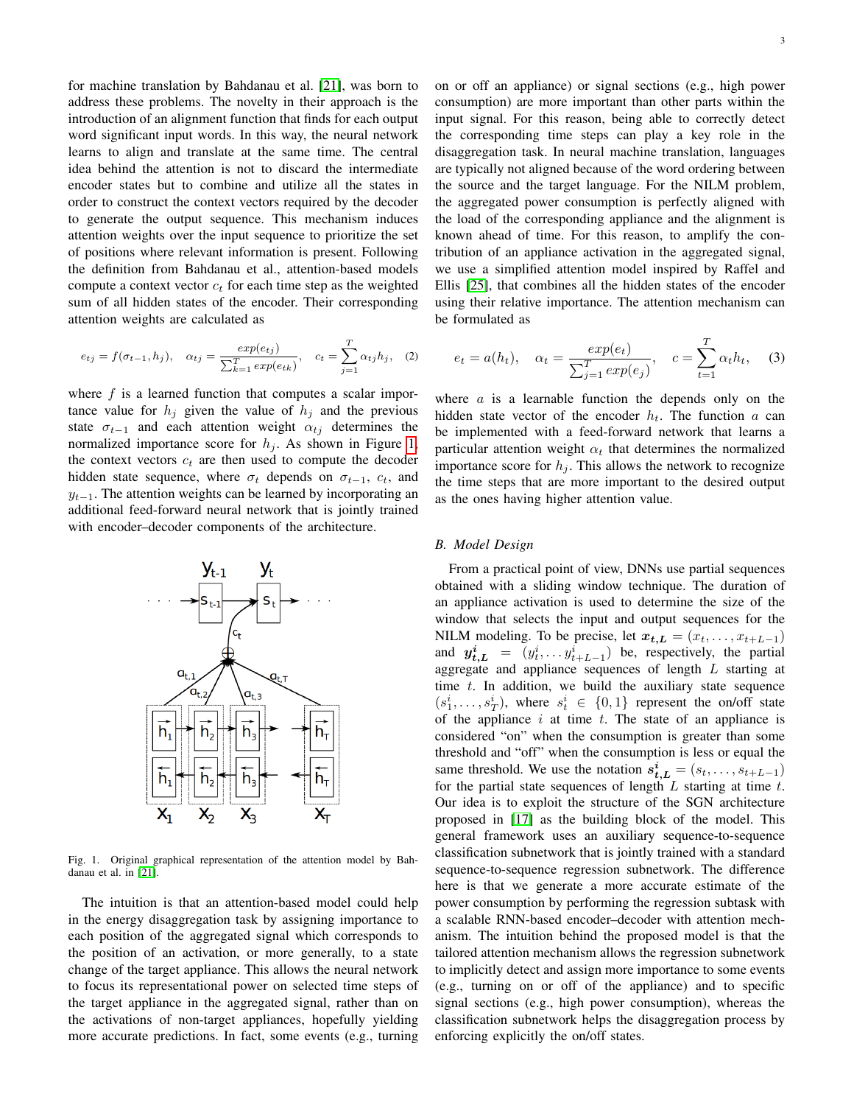for machine translation by Bahdanau et al. [\[21\]](#page-8-14), was born to address these problems. The novelty in their approach is the introduction of an alignment function that finds for each output word significant input words. In this way, the neural network learns to align and translate at the same time. The central idea behind the attention is not to discard the intermediate encoder states but to combine and utilize all the states in order to construct the context vectors required by the decoder to generate the output sequence. This mechanism induces attention weights over the input sequence to prioritize the set of positions where relevant information is present. Following the definition from Bahdanau et al., attention-based models compute a context vector  $c_t$  for each time step as the weighted sum of all hidden states of the encoder. Their corresponding attention weights are calculated as

$$
e_{tj} = f(\sigma_{t-1}, h_j), \quad \alpha_{tj} = \frac{exp(e_{tj})}{\sum_{k=1}^{T} exp(e_{tk})}, \quad c_t = \sum_{j=1}^{T} \alpha_{tj} h_j, \quad (2)
$$

where  $f$  is a learned function that computes a scalar importance value for  $h_i$  given the value of  $h_i$  and the previous state  $\sigma_{t-1}$  and each attention weight  $\alpha_{tj}$  determines the normalized importance score for  $h_j$ . As shown in Figure [1,](#page-2-0) the context vectors  $c_t$  are then used to compute the decoder hidden state sequence, where  $\sigma_t$  depends on  $\sigma_{t-1}$ ,  $c_t$ , and  $y_{t-1}$ . The attention weights can be learned by incorporating an additional feed-forward neural network that is jointly trained with encoder–decoder components of the architecture.

<span id="page-2-0"></span>Fig. 1. Original graphical representation of the attention model by Bahdanau et al. in [\[21\]](#page-8-14).

The intuition is that an attention-based model could help in the energy disaggregation task by assigning importance to each position of the aggregated signal which corresponds to the position of an activation, or more generally, to a state change of the target appliance. This allows the neural network to focus its representational power on selected time steps of the target appliance in the aggregated signal, rather than on the activations of non-target appliances, hopefully yielding more accurate predictions. In fact, some events (e.g., turning on or off an appliance) or signal sections (e.g., high power consumption) are more important than other parts within the input signal. For this reason, being able to correctly detect the corresponding time steps can play a key role in the disaggregation task. In neural machine translation, languages are typically not aligned because of the word ordering between the source and the target language. For the NILM problem, the aggregated power consumption is perfectly aligned with the load of the corresponding appliance and the alignment is known ahead of time. For this reason, to amplify the contribution of an appliance activation in the aggregated signal, we use a simplified attention model inspired by Raffel and Ellis [\[25\]](#page-8-18), that combines all the hidden states of the encoder using their relative importance. The attention mechanism can be formulated as

$$
e_t = a(h_t), \quad \alpha_t = \frac{exp(e_t)}{\sum_{j=1}^T exp(e_j)}, \quad c = \sum_{t=1}^T \alpha_t h_t,
$$
 (3)

where  $a$  is a learnable function the depends only on the hidden state vector of the encoder  $h_t$ . The function a can be implemented with a feed-forward network that learns a particular attention weight  $\alpha_t$  that determines the normalized importance score for  $h_i$ . This allows the network to recognize the time steps that are more important to the desired output as the ones having higher attention value.

## *B. Model Design*

From a practical point of view, DNNs use partial sequences obtained with a sliding window technique. The duration of an appliance activation is used to determine the size of the window that selects the input and output sequences for the NILM modeling. To be precise, let  $x_{t,L} = (x_t, \ldots, x_{t+L-1})$ and  $y_{t,L}^i = (y_t^i, \dots, y_{t+L-1}^i)$  be, respectively, the partial aggregate and appliance sequences of length L starting at time  $t$ . In addition, we build the auxiliary state sequence  $(s_1^i, \ldots, s_T^i)$ , where  $s_t^i \in \{0,1\}$  represent the on/off state of the appliance  $i$  at time  $t$ . The state of an appliance is considered "on" when the consumption is greater than some threshold and "off" when the consumption is less or equal the same threshold. We use the notation  $s_{t,L}^i = (s_t, \ldots, s_{t+L-1})$ for the partial state sequences of length  $L$  starting at time  $t$ . Our idea is to exploit the structure of the SGN architecture proposed in [\[17\]](#page-8-10) as the building block of the model. This general framework uses an auxiliary sequence-to-sequence classification subnetwork that is jointly trained with a standard sequence-to-sequence regression subnetwork. The difference here is that we generate a more accurate estimate of the power consumption by performing the regression subtask with a scalable RNN-based encoder–decoder with attention mechanism. The intuition behind the proposed model is that the tailored attention mechanism allows the regression subnetwork to implicitly detect and assign more importance to some events (e.g., turning on or off of the appliance) and to specific signal sections (e.g., high power consumption), whereas the classification subnetwork helps the disaggregation process by enforcing explicitly the on/off states.

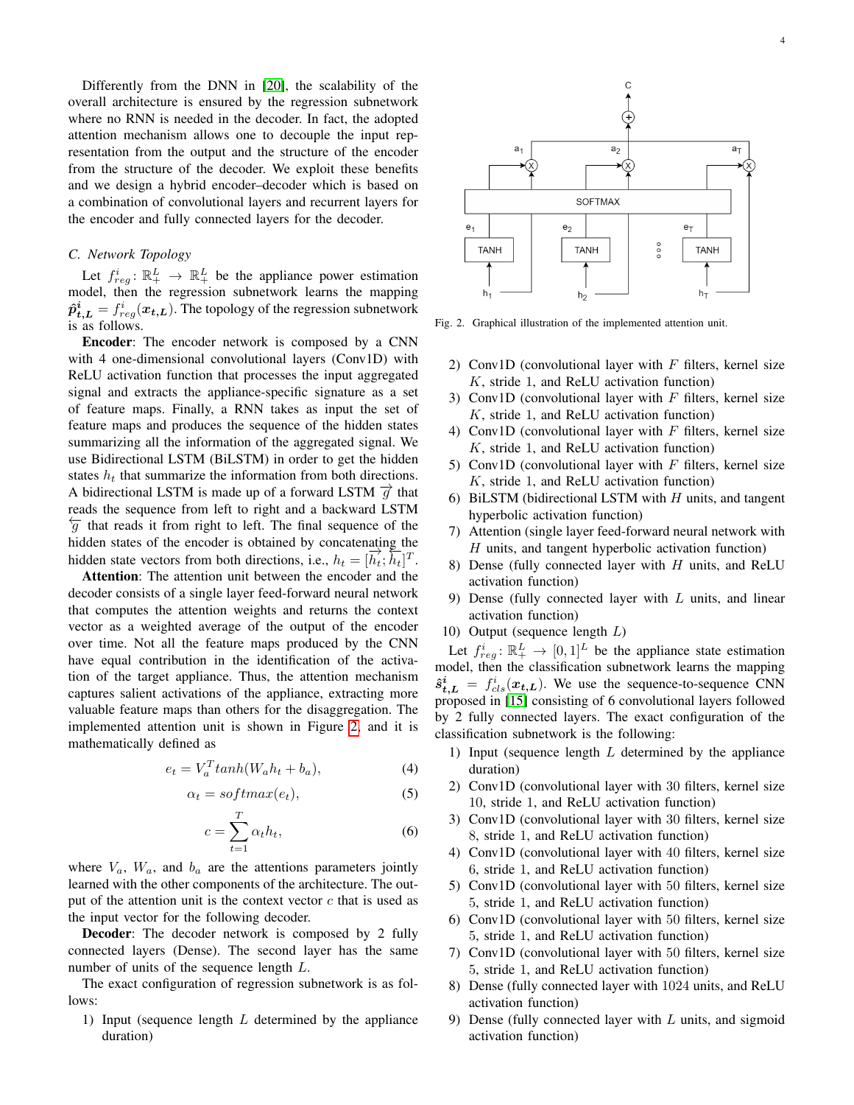Differently from the DNN in [\[20\]](#page-8-13), the scalability of the overall architecture is ensured by the regression subnetwork where no RNN is needed in the decoder. In fact, the adopted attention mechanism allows one to decouple the input representation from the output and the structure of the encoder from the structure of the decoder. We exploit these benefits and we design a hybrid encoder–decoder which is based on a combination of convolutional layers and recurrent layers for the encoder and fully connected layers for the decoder.

# *C. Network Topology*

Let  $f_{reg}^i: \mathbb{R}_+^L \to \mathbb{R}_+^L$  be the appliance power estimation model, then the regression subnetwork learns the mapping  $\hat{\boldsymbol{p}}_{t,\boldsymbol{L}}^i = f_{reg}^i(\boldsymbol{x_{t,L}}).$  The topology of the regression subnetwork is as follows.

Encoder: The encoder network is composed by a CNN with 4 one-dimensional convolutional layers (Conv1D) with ReLU activation function that processes the input aggregated signal and extracts the appliance-specific signature as a set of feature maps. Finally, a RNN takes as input the set of feature maps and produces the sequence of the hidden states summarizing all the information of the aggregated signal. We use Bidirectional LSTM (BiLSTM) in order to get the hidden states  $h_t$  that summarize the information from both directions. A bidirectional LSTM is made up of a forward LSTM  $\vec{q}$  that reads the sequence from left to right and a backward LSTM  $\overleftarrow{g}$  that reads it from right to left. The final sequence of the hidden states of the encoder is obtained by concatenating the hidden state vectors from both directions, i.e.,  $h_t = [\vec{h}_t; \vec{h}_t]^T$ .

Attention: The attention unit between the encoder and the decoder consists of a single layer feed-forward neural network that computes the attention weights and returns the context vector as a weighted average of the output of the encoder over time. Not all the feature maps produced by the CNN have equal contribution in the identification of the activation of the target appliance. Thus, the attention mechanism captures salient activations of the appliance, extracting more valuable feature maps than others for the disaggregation. The implemented attention unit is shown in Figure [2,](#page-3-0) and it is mathematically defined as

$$
e_t = V_a^T \tanh(W_a h_t + b_a), \tag{4}
$$

$$
\alpha_t = softmax(e_t), \tag{5}
$$

$$
c = \sum_{t=1}^{T} \alpha_t h_t,\tag{6}
$$

where  $V_a$ ,  $W_a$ , and  $b_a$  are the attentions parameters jointly learned with the other components of the architecture. The output of the attention unit is the context vector  $c$  that is used as the input vector for the following decoder.

Decoder: The decoder network is composed by 2 fully connected layers (Dense). The second layer has the same number of units of the sequence length L.

The exact configuration of regression subnetwork is as follows:

1) Input (sequence length  $L$  determined by the appliance duration)



<span id="page-3-0"></span>Fig. 2. Graphical illustration of the implemented attention unit.

- 2) Conv1D (convolutional layer with  $F$  filters, kernel size K, stride 1, and ReLU activation function)
- 3) Conv1D (convolutional layer with  $F$  filters, kernel size  $K$ , stride 1, and ReLU activation function)
- 4) Conv1D (convolutional layer with  $F$  filters, kernel size K, stride 1, and ReLU activation function)
- 5) Conv1D (convolutional layer with  $F$  filters, kernel size K, stride 1, and ReLU activation function)
- 6) BiLSTM (bidirectional LSTM with  $H$  units, and tangent hyperbolic activation function)
- 7) Attention (single layer feed-forward neural network with  $H$  units, and tangent hyperbolic activation function)
- 8) Dense (fully connected layer with  $H$  units, and ReLU activation function)
- 9) Dense (fully connected layer with  $L$  units, and linear activation function)
- 10) Output (sequence length L)

Let  $f_{reg}^i: \mathbb{R}_+^L \to [0,1]^L$  be the appliance state estimation model, then the classification subnetwork learns the mapping  $\hat{s}_{t,L}^{i} = f_{cls}^{i}(x_{t,L})$ . We use the sequence-to-sequence CNN proposed in [\[15\]](#page-8-8) consisting of 6 convolutional layers followed by 2 fully connected layers. The exact configuration of the classification subnetwork is the following:

- 1) Input (sequence length  $L$  determined by the appliance duration)
- 2) Conv1D (convolutional layer with 30 filters, kernel size 10, stride 1, and ReLU activation function)
- 3) Conv1D (convolutional layer with 30 filters, kernel size 8, stride 1, and ReLU activation function)
- 4) Conv1D (convolutional layer with 40 filters, kernel size 6, stride 1, and ReLU activation function)
- 5) Conv1D (convolutional layer with 50 filters, kernel size 5, stride 1, and ReLU activation function)
- 6) Conv1D (convolutional layer with 50 filters, kernel size 5, stride 1, and ReLU activation function)
- 7) Conv1D (convolutional layer with 50 filters, kernel size 5, stride 1, and ReLU activation function)
- 8) Dense (fully connected layer with 1024 units, and ReLU activation function)
- 9) Dense (fully connected layer with  $L$  units, and sigmoid activation function)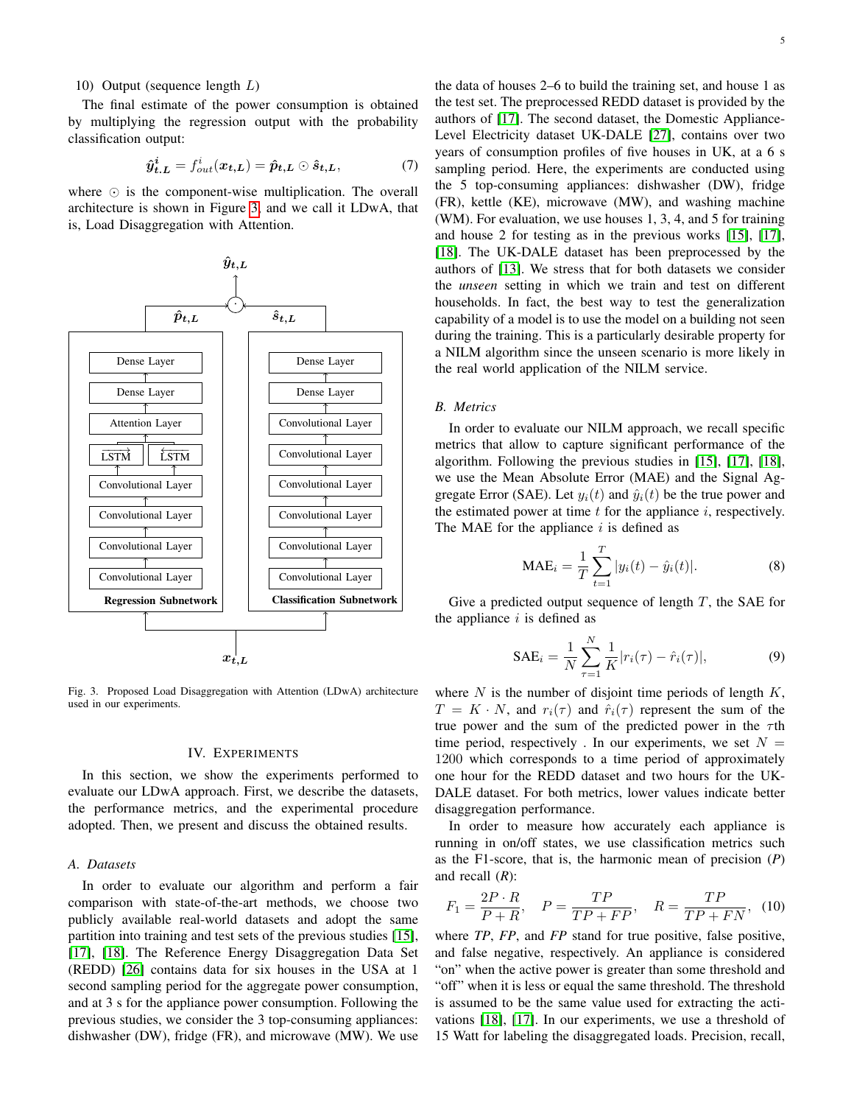# 10) Output (sequence length L)

The final estimate of the power consumption is obtained by multiplying the regression output with the probability classification output:

$$
\hat{\boldsymbol{y}}_{t,L}^i = f_{out}^i(\boldsymbol{x}_{t,L}) = \hat{\boldsymbol{p}}_{t,L} \odot \hat{\boldsymbol{s}}_{t,L},
$$
\n(7)

where  $\odot$  is the component-wise multiplication. The overall architecture is shown in Figure [3,](#page-4-1) and we call it LDwA, that is, Load Disaggregation with Attention.



<span id="page-4-1"></span>Fig. 3. Proposed Load Disaggregation with Attention (LDwA) architecture used in our experiments.

# IV. EXPERIMENTS

<span id="page-4-0"></span>In this section, we show the experiments performed to evaluate our LDwA approach. First, we describe the datasets, the performance metrics, and the experimental procedure adopted. Then, we present and discuss the obtained results.

# *A. Datasets*

In order to evaluate our algorithm and perform a fair comparison with state-of-the-art methods, we choose two publicly available real-world datasets and adopt the same partition into training and test sets of the previous studies [\[15\]](#page-8-8), [\[17\]](#page-8-10), [\[18\]](#page-8-11). The Reference Energy Disaggregation Data Set (REDD) [\[26\]](#page-8-19) contains data for six houses in the USA at 1 second sampling period for the aggregate power consumption, and at 3 s for the appliance power consumption. Following the previous studies, we consider the 3 top-consuming appliances: dishwasher (DW), fridge (FR), and microwave (MW). We use

the data of houses 2–6 to build the training set, and house 1 as the test set. The preprocessed REDD dataset is provided by the authors of [\[17\]](#page-8-10). The second dataset, the Domestic Appliance-Level Electricity dataset UK-DALE [\[27\]](#page-8-20), contains over two years of consumption profiles of five houses in UK, at a 6 s sampling period. Here, the experiments are conducted using the 5 top-consuming appliances: dishwasher (DW), fridge (FR), kettle (KE), microwave (MW), and washing machine (WM). For evaluation, we use houses 1, 3, 4, and 5 for training and house 2 for testing as in the previous works [\[15\]](#page-8-8), [\[17\]](#page-8-10), [\[18\]](#page-8-11). The UK-DALE dataset has been preprocessed by the authors of [\[13\]](#page-8-6). We stress that for both datasets we consider the *unseen* setting in which we train and test on different households. In fact, the best way to test the generalization capability of a model is to use the model on a building not seen during the training. This is a particularly desirable property for a NILM algorithm since the unseen scenario is more likely in the real world application of the NILM service.

## *B. Metrics*

In order to evaluate our NILM approach, we recall specific metrics that allow to capture significant performance of the algorithm. Following the previous studies in [\[15\]](#page-8-8), [\[17\]](#page-8-10), [\[18\]](#page-8-11), we use the Mean Absolute Error (MAE) and the Signal Aggregate Error (SAE). Let  $y_i(t)$  and  $\hat{y}_i(t)$  be the true power and the estimated power at time  $t$  for the appliance  $i$ , respectively. The MAE for the appliance  $i$  is defined as

$$
\text{MAE}_{i} = \frac{1}{T} \sum_{t=1}^{T} |y_i(t) - \hat{y}_i(t)|.
$$
 (8)

Give a predicted output sequence of length  $T$ , the SAE for the appliance  $i$  is defined as

$$
SAE_i = \frac{1}{N} \sum_{\tau=1}^{N} \frac{1}{K} |r_i(\tau) - \hat{r}_i(\tau)|,
$$
 (9)

where  $N$  is the number of disjoint time periods of length  $K$ ,  $T = K \cdot N$ , and  $r_i(\tau)$  and  $\hat{r_i}(\tau)$  represent the sum of the true power and the sum of the predicted power in the  $\tau$ th time period, respectively . In our experiments, we set  $N =$ 1200 which corresponds to a time period of approximately one hour for the REDD dataset and two hours for the UK-DALE dataset. For both metrics, lower values indicate better disaggregation performance.

In order to measure how accurately each appliance is running in on/off states, we use classification metrics such as the F1-score, that is, the harmonic mean of precision (*P*) and recall (*R*):

$$
F_1 = \frac{2P \cdot R}{P + R}, \quad P = \frac{TP}{TP + FP}, \quad R = \frac{TP}{TP + FN}, \quad (10)
$$

where *TP*, *FP*, and *FP* stand for true positive, false positive, and false negative, respectively. An appliance is considered "on" when the active power is greater than some threshold and "off" when it is less or equal the same threshold. The threshold is assumed to be the same value used for extracting the activations [\[18\]](#page-8-11), [\[17\]](#page-8-10). In our experiments, we use a threshold of 15 Watt for labeling the disaggregated loads. Precision, recall,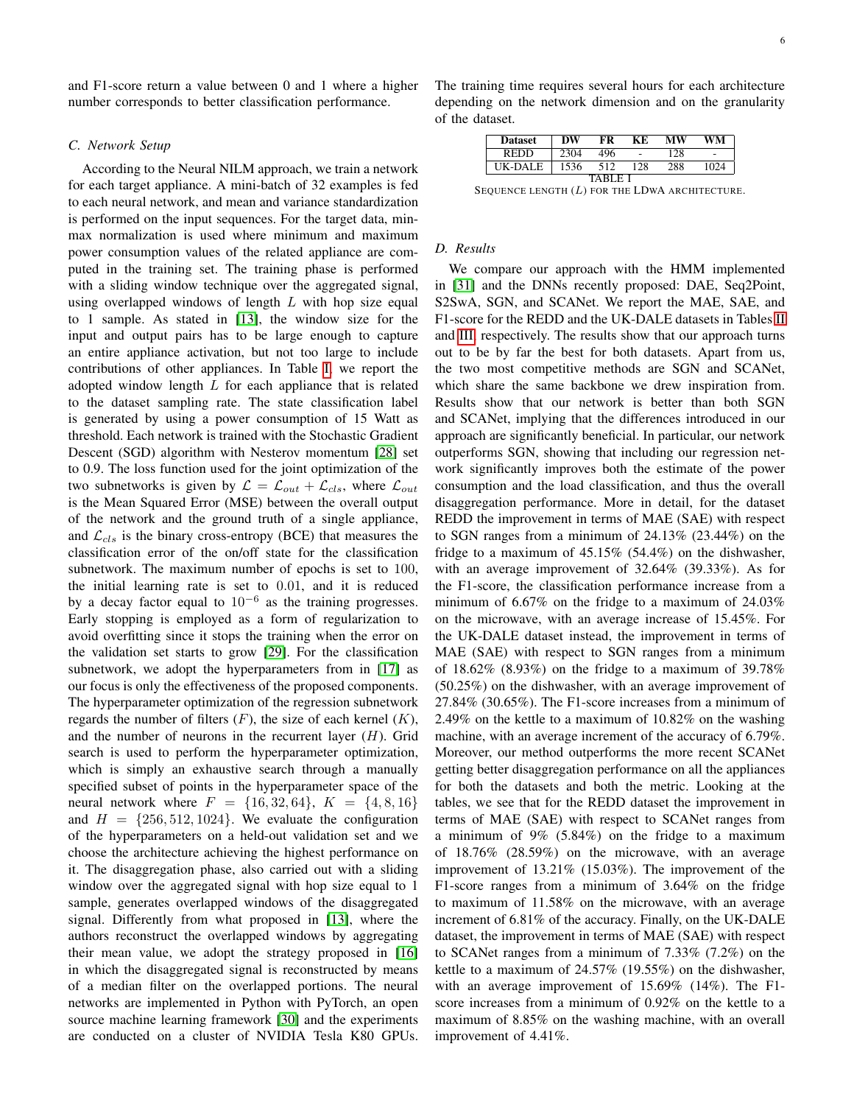and F1-score return a value between 0 and 1 where a higher number corresponds to better classification performance.

# *C. Network Setup*

According to the Neural NILM approach, we train a network for each target appliance. A mini-batch of 32 examples is fed to each neural network, and mean and variance standardization is performed on the input sequences. For the target data, minmax normalization is used where minimum and maximum power consumption values of the related appliance are computed in the training set. The training phase is performed with a sliding window technique over the aggregated signal, using overlapped windows of length  $L$  with hop size equal to 1 sample. As stated in [\[13\]](#page-8-6), the window size for the input and output pairs has to be large enough to capture an entire appliance activation, but not too large to include contributions of other appliances. In Table [I,](#page-5-0) we report the adopted window length L for each appliance that is related to the dataset sampling rate. The state classification label is generated by using a power consumption of 15 Watt as threshold. Each network is trained with the Stochastic Gradient Descent (SGD) algorithm with Nesterov momentum [\[28\]](#page-8-21) set to 0.9. The loss function used for the joint optimization of the two subnetworks is given by  $\mathcal{L} = \mathcal{L}_{out} + \mathcal{L}_{cls}$ , where  $\mathcal{L}_{out}$ is the Mean Squared Error (MSE) between the overall output of the network and the ground truth of a single appliance, and  $\mathcal{L}_{cls}$  is the binary cross-entropy (BCE) that measures the classification error of the on/off state for the classification subnetwork. The maximum number of epochs is set to 100, the initial learning rate is set to 0.01, and it is reduced by a decay factor equal to  $10^{-6}$  as the training progresses. Early stopping is employed as a form of regularization to avoid overfitting since it stops the training when the error on the validation set starts to grow [\[29\]](#page-8-22). For the classification subnetwork, we adopt the hyperparameters from in [\[17\]](#page-8-10) as our focus is only the effectiveness of the proposed components. The hyperparameter optimization of the regression subnetwork regards the number of filters  $(F)$ , the size of each kernel  $(K)$ , and the number of neurons in the recurrent layer  $(H)$ . Grid search is used to perform the hyperparameter optimization, which is simply an exhaustive search through a manually specified subset of points in the hyperparameter space of the neural network where  $F = \{16, 32, 64\}, K = \{4, 8, 16\}$ and  $H = \{256, 512, 1024\}$ . We evaluate the configuration of the hyperparameters on a held-out validation set and we choose the architecture achieving the highest performance on it. The disaggregation phase, also carried out with a sliding window over the aggregated signal with hop size equal to 1 sample, generates overlapped windows of the disaggregated signal. Differently from what proposed in [\[13\]](#page-8-6), where the authors reconstruct the overlapped windows by aggregating their mean value, we adopt the strategy proposed in [\[16\]](#page-8-9) in which the disaggregated signal is reconstructed by means of a median filter on the overlapped portions. The neural networks are implemented in Python with PyTorch, an open source machine learning framework [\[30\]](#page-8-23) and the experiments are conducted on a cluster of NVIDIA Tesla K80 GPUs. The training time requires several hours for each architecture depending on the network dimension and on the granularity of the dataset.

| <b>Dataset</b> | DW   | FR  | KF  | МW  | WM   |  |  |
|----------------|------|-----|-----|-----|------|--|--|
| <b>REDD</b>    | 2304 | 496 | ٠   | 128 | ۰    |  |  |
| UK-DALE        | 1536 | 512 | 128 | 288 | 1024 |  |  |
| TARI F         |      |     |     |     |      |  |  |

<span id="page-5-0"></span>SEQUENCE LENGTH  $(L)$  FOR THE LDWA ARCHITECTURE.

### *D. Results*

We compare our approach with the HMM implemented in [\[31\]](#page-8-24) and the DNNs recently proposed: DAE, Seq2Point, S2SwA, SGN, and SCANet. We report the MAE, SAE, and F1-score for the REDD and the UK-DALE datasets in Tables [II](#page-6-1) and [III,](#page-6-2) respectively. The results show that our approach turns out to be by far the best for both datasets. Apart from us, the two most competitive methods are SGN and SCANet, which share the same backbone we drew inspiration from. Results show that our network is better than both SGN and SCANet, implying that the differences introduced in our approach are significantly beneficial. In particular, our network outperforms SGN, showing that including our regression network significantly improves both the estimate of the power consumption and the load classification, and thus the overall disaggregation performance. More in detail, for the dataset REDD the improvement in terms of MAE (SAE) with respect to SGN ranges from a minimum of 24.13% (23.44%) on the fridge to a maximum of 45.15% (54.4%) on the dishwasher, with an average improvement of 32.64% (39.33%). As for the F1-score, the classification performance increase from a minimum of 6.67% on the fridge to a maximum of 24.03% on the microwave, with an average increase of 15.45%. For the UK-DALE dataset instead, the improvement in terms of MAE (SAE) with respect to SGN ranges from a minimum of 18.62% (8.93%) on the fridge to a maximum of 39.78% (50.25%) on the dishwasher, with an average improvement of 27.84% (30.65%). The F1-score increases from a minimum of 2.49% on the kettle to a maximum of 10.82% on the washing machine, with an average increment of the accuracy of 6.79%. Moreover, our method outperforms the more recent SCANet getting better disaggregation performance on all the appliances for both the datasets and both the metric. Looking at the tables, we see that for the REDD dataset the improvement in terms of MAE (SAE) with respect to SCANet ranges from a minimum of 9% (5.84%) on the fridge to a maximum of 18.76% (28.59%) on the microwave, with an average improvement of 13.21% (15.03%). The improvement of the F1-score ranges from a minimum of 3.64% on the fridge to maximum of 11.58% on the microwave, with an average increment of 6.81% of the accuracy. Finally, on the UK-DALE dataset, the improvement in terms of MAE (SAE) with respect to SCANet ranges from a minimum of 7.33% (7.2%) on the kettle to a maximum of 24.57% (19.55%) on the dishwasher, with an average improvement of 15.69% (14%). The F1 score increases from a minimum of 0.92% on the kettle to a maximum of 8.85% on the washing machine, with an overall improvement of 4.41%.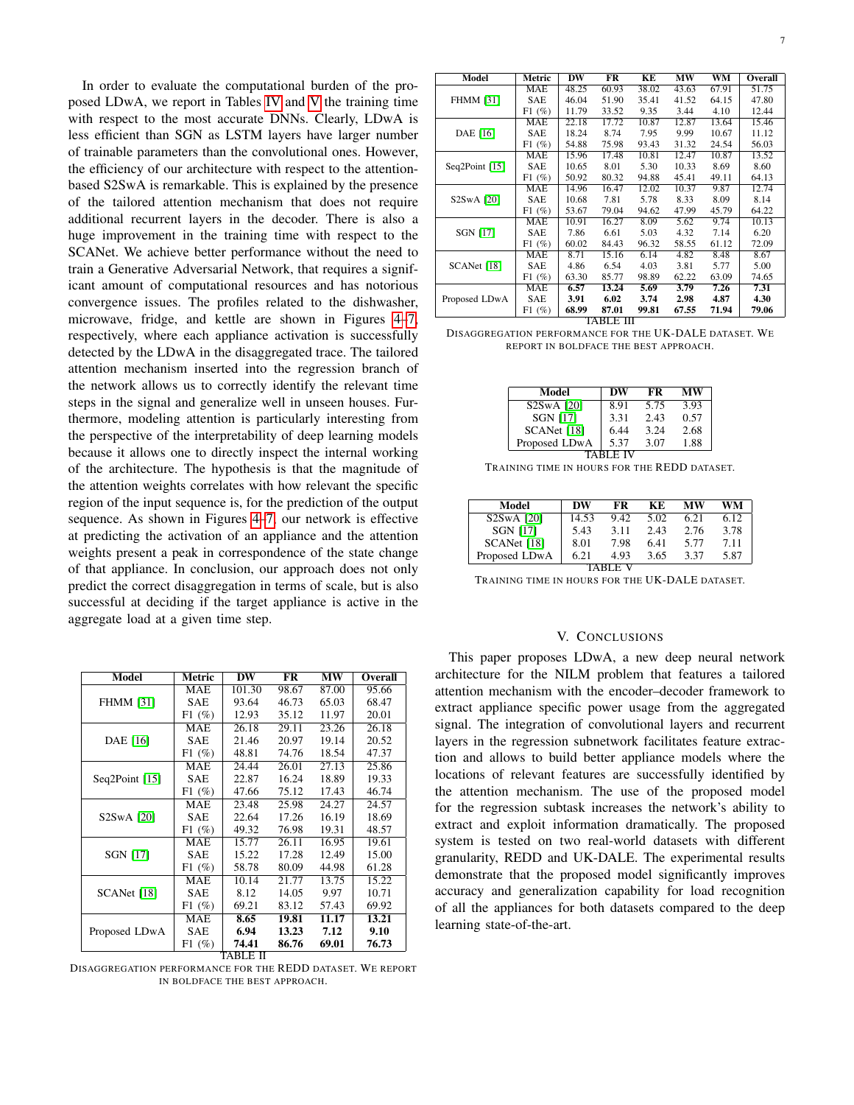In order to evaluate the computational burden of the proposed LDwA, we report in Tables [IV](#page-6-3) and [V](#page-6-4) the training time with respect to the most accurate DNNs. Clearly, LDwA is less efficient than SGN as LSTM layers have larger number of trainable parameters than the convolutional ones. However, the efficiency of our architecture with respect to the attentionbased S2SwA is remarkable. This is explained by the presence of the tailored attention mechanism that does not require additional recurrent layers in the decoder. There is also a huge improvement in the training time with respect to the SCANet. We achieve better performance without the need to train a Generative Adversarial Network, that requires a significant amount of computational resources and has notorious convergence issues. The profiles related to the dishwasher, microwave, fridge, and kettle are shown in Figures [4–](#page-7-6)[7,](#page-7-7) respectively, where each appliance activation is successfully detected by the LDwA in the disaggregated trace. The tailored attention mechanism inserted into the regression branch of the network allows us to correctly identify the relevant time steps in the signal and generalize well in unseen houses. Furthermore, modeling attention is particularly interesting from the perspective of the interpretability of deep learning models because it allows one to directly inspect the internal working of the architecture. The hypothesis is that the magnitude of the attention weights correlates with how relevant the specific region of the input sequence is, for the prediction of the output sequence. As shown in Figures [4](#page-7-6)[–7,](#page-7-7) our network is effective at predicting the activation of an appliance and the attention weights present a peak in correspondence of the state change of that appliance. In conclusion, our approach does not only predict the correct disaggregation in terms of scale, but is also successful at deciding if the target appliance is active in the aggregate load at a given time step.

| Model            | Metric     | DW     | FR    | MW    | Overall |
|------------------|------------|--------|-------|-------|---------|
|                  | <b>MAE</b> | 101.30 | 98.67 | 87.00 | 95.66   |
| <b>FHMM [31]</b> | SAE        | 93.64  | 46.73 | 65.03 | 68.47   |
|                  | F1(%)      | 12.93  | 35.12 | 11.97 | 20.01   |
|                  | <b>MAE</b> | 26.18  | 29.11 | 23.26 | 26.18   |
| DAE [16]         | <b>SAE</b> | 21.46  | 20.97 | 19.14 | 20.52   |
|                  | F1(%)      | 48.81  | 74.76 | 18.54 | 47.37   |
|                  | <b>MAE</b> | 24.44  | 26.01 | 27.13 | 25.86   |
| Seq2Point [15]   | <b>SAE</b> | 22.87  | 16.24 | 18.89 | 19.33   |
|                  | F1(%)      | 47.66  | 75.12 | 17.43 | 46.74   |
|                  | <b>MAE</b> | 23.48  | 25.98 | 24.27 | 24.57   |
| S2SwA [20]       | <b>SAE</b> | 22.64  | 17.26 | 16.19 | 18.69   |
|                  | F1(%)      | 49.32  | 76.98 | 19.31 | 48.57   |
|                  | MAE        | 15.77  | 26.11 | 16.95 | 19.61   |
| <b>SGN [17]</b>  | <b>SAE</b> | 15.22  | 17.28 | 12.49 | 15.00   |
|                  | F1(%)      | 58.78  | 80.09 | 44.98 | 61.28   |
| SCANet [18]      | <b>MAE</b> | 10.14  | 21.77 | 13.75 | 15.22   |
|                  | <b>SAE</b> | 8.12   | 14.05 | 9.97  | 10.71   |
|                  | F1(%)      | 69.21  | 83.12 | 57.43 | 69.92   |
|                  | <b>MAE</b> | 8.65   | 19.81 | 11.17 | 13.21   |
| Proposed LDwA    | <b>SAE</b> | 6.94   | 13.23 | 7.12  | 9.10    |
|                  | F1(%)      | 74.41  | 86.76 | 69.01 | 76.73   |

TABLE II

<span id="page-6-1"></span>DISAGGREGATION PERFORMANCE FOR THE REDD DATASET. WE REPORT IN BOLDFACE THE BEST APPROACH.

| Model            | Metric     | DW    | FR    | KЕ    | MW    | WM                 | Overall |  |  |
|------------------|------------|-------|-------|-------|-------|--------------------|---------|--|--|
|                  | <b>MAE</b> | 48.25 | 60.93 | 38.02 | 43.63 | $67.\overline{91}$ | 51.75   |  |  |
| <b>FHMM [31]</b> | SAE        | 46.04 | 51.90 | 35.41 | 41.52 | 64.15              | 47.80   |  |  |
|                  | $F1(\%)$   | 11.79 | 33.52 | 9.35  | 3.44  | 4.10               | 12.44   |  |  |
|                  | <b>MAE</b> | 22.18 | 17.72 | 10.87 | 12.87 | 13.64              | 15.46   |  |  |
| DAE [16]         | SAE        | 18.24 | 8.74  | 7.95  | 9.99  | 10.67              | 11.12   |  |  |
|                  | $F1(\%)$   | 54.88 | 75.98 | 93.43 | 31.32 | 24.54              | 56.03   |  |  |
|                  | <b>MAE</b> | 15.96 | 17.48 | 10.81 | 12.47 | 10.87              | 13.52   |  |  |
| Seq2Point [15]   | SAE        | 10.65 | 8.01  | 5.30  | 10.33 | 8.69               | 8.60    |  |  |
|                  | $F1(\%)$   | 50.92 | 80.32 | 94.88 | 45.41 | 49.11              | 64.13   |  |  |
|                  | <b>MAE</b> | 14.96 | 16.47 | 12.02 | 10.37 | 9.87               | 12.74   |  |  |
| S2SwA [20]       | SAE        | 10.68 | 7.81  | 5.78  | 8.33  | 8.09               | 8.14    |  |  |
|                  | $F1(\%)$   | 53.67 | 79.04 | 94.62 | 47.99 | 45.79              | 64.22   |  |  |
|                  | <b>MAE</b> | 10.91 | 16.27 | 8.09  | 5.62  | 9.74               | 10.13   |  |  |
| <b>SGN [17]</b>  | SAE        | 7.86  | 6.61  | 5.03  | 4.32  | 7.14               | 6.20    |  |  |
|                  | $F1(\%)$   | 60.02 | 84.43 | 96.32 | 58.55 | 61.12              | 72.09   |  |  |
|                  | <b>MAE</b> | 8.71  | 15.16 | 6.14  | 4.82  | 8.48               | 8.67    |  |  |
| SCANet [18]      | SAE        | 4.86  | 6.54  | 4.03  | 3.81  | 5.77               | 5.00    |  |  |
|                  | $F1(\%)$   | 63.30 | 85.77 | 98.89 | 62.22 | 63.09              | 74.65   |  |  |
| Proposed LDwA    | <b>MAE</b> | 6.57  | 13.24 | 5.69  | 3.79  | 7.26               | 7.31    |  |  |
|                  | <b>SAE</b> | 3.91  | 6.02  | 3.74  | 2.98  | 4.87               | 4.30    |  |  |
|                  | F1(%)      | 68.99 | 87.01 | 99.81 | 67.55 | 71.94              | 79.06   |  |  |
|                  | TABLE III  |       |       |       |       |                    |         |  |  |

<span id="page-6-2"></span>DISAGGREGATION PERFORMANCE FOR THE UK-DALE DATASET. WE

|  | REPORT IN BOLDFACE THE BEST APPROACH. |  |  |  |
|--|---------------------------------------|--|--|--|

| Model                   | DW   | FR   | МW   |  |  |  |
|-------------------------|------|------|------|--|--|--|
| S <sub>2</sub> SwA [20] | 8.91 | 5.75 | 3.93 |  |  |  |
| <b>SGN [17]</b>         | 3.31 | 2.43 | 0.57 |  |  |  |
| SCANet [18]             | 6.44 | 3.24 | 2.68 |  |  |  |
| Proposed LDwA           | 5.37 | 3.07 | 1.88 |  |  |  |
| TABLE IV                |      |      |      |  |  |  |

TRAINING TIME IN HOURS FOR THE REDD DATASET.

<span id="page-6-3"></span>

| Model                   | DW    | FR   | KЕ   | МW   | WМ   |  |  |  |
|-------------------------|-------|------|------|------|------|--|--|--|
| S <sub>2</sub> SwA [20] | 14.53 | 9.42 | 5.02 | 6.21 | 6.12 |  |  |  |
| <b>SGN [17]</b>         | 5.43  | 3.11 | 2.43 | 2.76 | 3.78 |  |  |  |
| SCANet [18]             | 8.01  | 7.98 | 641  | 5.77 | 7.11 |  |  |  |
| Proposed LDwA           | 6.21  | 4.93 | 3.65 | 3.37 | 5.87 |  |  |  |
|                         |       |      |      |      |      |  |  |  |

<span id="page-6-4"></span>TRAINING TIME IN HOURS FOR THE UK-DALE DATASET.

#### V. CONCLUSIONS

<span id="page-6-0"></span>This paper proposes LDwA, a new deep neural network architecture for the NILM problem that features a tailored attention mechanism with the encoder–decoder framework to extract appliance specific power usage from the aggregated signal. The integration of convolutional layers and recurrent layers in the regression subnetwork facilitates feature extraction and allows to build better appliance models where the locations of relevant features are successfully identified by the attention mechanism. The use of the proposed model for the regression subtask increases the network's ability to extract and exploit information dramatically. The proposed system is tested on two real-world datasets with different granularity, REDD and UK-DALE. The experimental results demonstrate that the proposed model significantly improves accuracy and generalization capability for load recognition of all the appliances for both datasets compared to the deep learning state-of-the-art.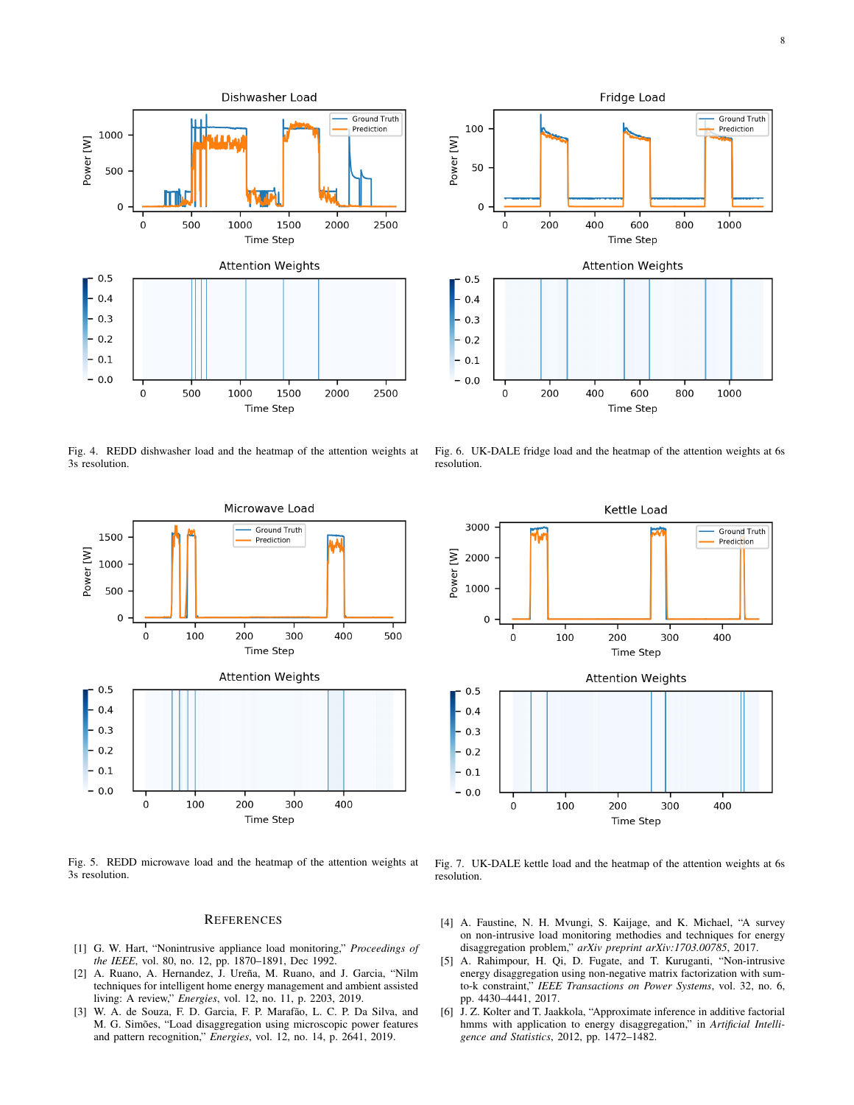



<span id="page-7-6"></span>Fig. 4. REDD dishwasher load and the heatmap of the attention weights at 3s resolution.



Fig. 5. REDD microwave load and the heatmap of the attention weights at 3s resolution.

## **REFERENCES**

- <span id="page-7-0"></span>[1] G. W. Hart, "Nonintrusive appliance load monitoring," *Proceedings of the IEEE*, vol. 80, no. 12, pp. 1870–1891, Dec 1992.
- <span id="page-7-1"></span>[2] A. Ruano, A. Hernandez, J. Ureña, M. Ruano, and J. Garcia, "Nilm techniques for intelligent home energy management and ambient assisted living: A review," *Energies*, vol. 12, no. 11, p. 2203, 2019.
- <span id="page-7-2"></span>[3] W. A. de Souza, F. D. Garcia, F. P. Marafão, L. C. P. Da Silva, and M. G. Simões, "Load disaggregation using microscopic power features and pattern recognition," *Energies*, vol. 12, no. 14, p. 2641, 2019.



Fig. 6. UK-DALE fridge load and the heatmap of the attention weights at 6s resolution.



<span id="page-7-7"></span>Fig. 7. UK-DALE kettle load and the heatmap of the attention weights at 6s resolution.

- <span id="page-7-3"></span>[4] A. Faustine, N. H. Mvungi, S. Kaijage, and K. Michael, "A survey on non-intrusive load monitoring methodies and techniques for energy disaggregation problem," *arXiv preprint arXiv:1703.00785*, 2017.
- <span id="page-7-4"></span>[5] A. Rahimpour, H. Qi, D. Fugate, and T. Kuruganti, "Non-intrusive energy disaggregation using non-negative matrix factorization with sumto-k constraint," *IEEE Transactions on Power Systems*, vol. 32, no. 6, pp. 4430–4441, 2017.
- <span id="page-7-5"></span>[6] J. Z. Kolter and T. Jaakkola, "Approximate inference in additive factorial hmms with application to energy disaggregation," in *Artificial Intelligence and Statistics*, 2012, pp. 1472–1482.